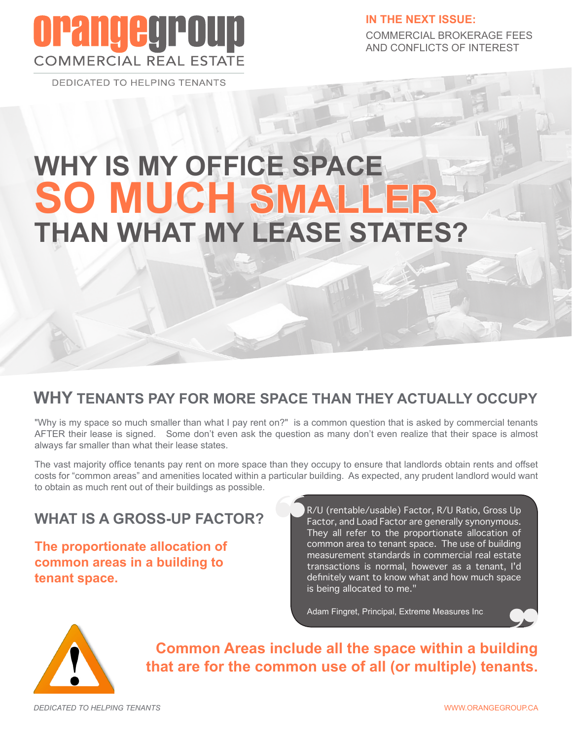## **OPangegro COMMERCIAL REAL ESTATE**

**DEDICATED TO HELPING TENANTS** 

**IN THE NEXT ISSUE:** COMMERCIAL BROKERAGE FEES AND CONFLICTS OF INTEREST

# **WHY IS MY OFFICE SPACE SO MUCH SMALLER THAN WHAT MY LEASE STATES?**

#### **WHY TENANTS PAY FOR MORE SPACE THAN THEY ACTUALLY OCCUPY**

"Why is my space so much smaller than what I pay rent on?" is a common question that is asked by commercial tenants AFTER their lease is signed. Some don't even ask the question as many don't even realize that their space is almost always far smaller than what their lease states.

The vast majority office tenants pay rent on more space than they occupy to ensure that landlords obtain rents and offset costs for "common areas" and amenities located within a particular building. As expected, any prudent landlord would want to obtain as much rent out of their buildings as possible.

#### **WHAT IS A GROSS-UP FACTOR?**

**The proportionate allocation of common areas in a building to tenant space.**

R/U (rentable/usable) Factor, R/U Ratio, Gross Up Factor, and Load Factor are generally synonymous. They all refer to the proportionate allocation of common area to tenant space. The use of building measurement standards in commercial real estate transactions is normal, however as a tenant, I'd definitely want to know what and how much space is being allocated to me."

Adam Fingret, Principal, Extreme Measures Inc.



**Common Areas include all the space within a building that are for the common use of all (or multiple) tenants.**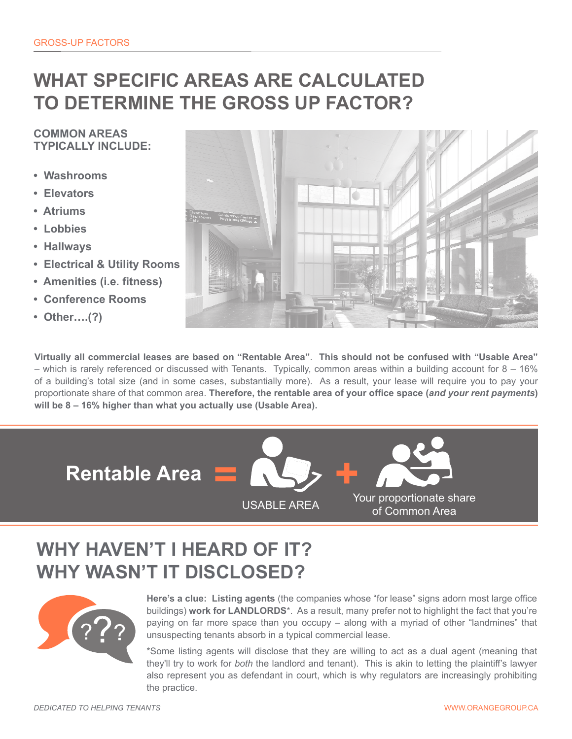### **WHAT SPECIFIC AREAS ARE CALCULATED TO DETERMINE THE GROSS UP FACTOR?**

#### **COMMON AREAS TYPICALLY INCLUDE:**

- **Washrooms**
- **Elevators**
- **Atriums**
- **Lobbies**
- **Hallways**
- **Electrical & Utility Rooms**
- **Amenities (i.e. fitness)**
- **Conference Rooms**
- **Other….(?)**



**Virtually all commercial leases are based on "Rentable Area"**. **This should not be confused with "Usable Area"**  – which is rarely referenced or discussed with Tenants. Typically, common areas within a building account for 8 – 16% of a building's total size (and in some cases, substantially more). As a result, your lease will require you to pay your proportionate share of that common area. **Therefore, the rentable area of your office space (***and your rent payments***) will be 8 – 16% higher than what you actually use (Usable Area).** 

**Rentable Area**



### **WHY HAVEN'T I HEARD OF IT? WHY WASN'T IT DISCLOSED?**



**Here's a clue: Listing agents** (the companies whose "for lease" signs adorn most large office buildings) **work for LANDLORDS**\*. As a result, many prefer not to highlight the fact that you're paying on far more space than you occupy – along with a myriad of other "landmines" that unsuspecting tenants absorb in a typical commercial lease.

\*Some listing agents will disclose that they are willing to act as a dual agent (meaning that they'll try to work for *both* the landlord and tenant). This is akin to letting the plaintiff's lawyer also represent you as defendant in court, which is why regulators are increasingly prohibiting the practice.